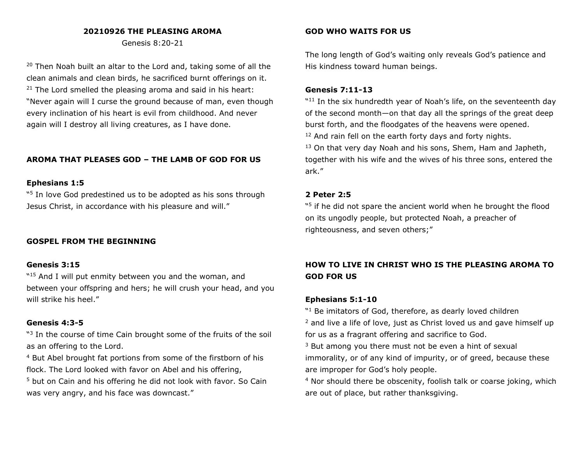## **20210926 THE PLEASING AROMA**

Genesis 8:20-21

 $20$  Then Noah built an altar to the Lord and, taking some of all the clean animals and clean birds, he sacrificed burnt offerings on it.  $21$  The Lord smelled the pleasing aroma and said in his heart: "Never again will I curse the ground because of man, even though every inclination of his heart is evil from childhood. And never again will I destroy all living creatures, as I have done.

## **AROMA THAT PLEASES GOD – THE LAMB OF GOD FOR US**

### **Ephesians 1:5**

"<sup>5</sup> In love God predestined us to be adopted as his sons through Jesus Christ, in accordance with his pleasure and will."

### **GOSPEL FROM THE BEGINNING**

#### **Genesis 3:15**

"<sup>15</sup> And I will put enmity between you and the woman, and between your offspring and hers; he will crush your head, and you will strike his heel."

### **Genesis 4:3-5**

"<sup>3</sup> In the course of time Cain brought some of the fruits of the soil as an offering to the Lord.

<sup>4</sup> But Abel brought fat portions from some of the firstborn of his flock. The Lord looked with favor on Abel and his offering,

<sup>5</sup> but on Cain and his offering he did not look with favor. So Cain was very angry, and his face was downcast."

### **GOD WHO WAITS FOR US**

The long length of God's waiting only reveals God's patience and His kindness toward human beings.

#### **Genesis 7:11-13**

"<sup>11</sup> In the six hundredth year of Noah's life, on the seventeenth day of the second month—on that day all the springs of the great deep burst forth, and the floodgates of the heavens were opened. <sup>12</sup> And rain fell on the earth forty days and forty nights.  $13$  On that very day Noah and his sons, Shem, Ham and Japheth, together with his wife and the wives of his three sons, entered the ark."

#### **2 Peter 2:5**

"<sup>5</sup> if he did not spare the ancient world when he brought the flood on its ungodly people, but protected Noah, a preacher of righteousness, and seven others;"

# **HOW TO LIVE IN CHRIST WHO IS THE PLEASING AROMA TO GOD FOR US**

### **Ephesians 5:1-10**

"<sup>1</sup> Be imitators of God, therefore, as dearly loved children <sup>2</sup> and live a life of love, just as Christ loved us and gave himself up for us as a fragrant offering and sacrifice to God.

<sup>3</sup> But among you there must not be even a hint of sexual immorality, or of any kind of impurity, or of greed, because these are improper for God's holy people.

<sup>4</sup> Nor should there be obscenity, foolish talk or coarse joking, which are out of place, but rather thanksgiving.